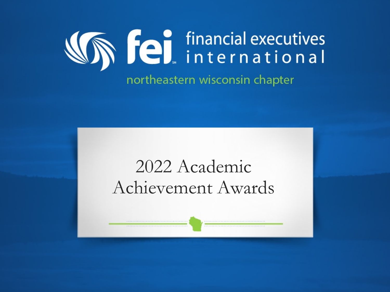

# 2022 Academic Achievement Awards

............................

,,,,,,,,,,,,,,,,,,,,,,,,,,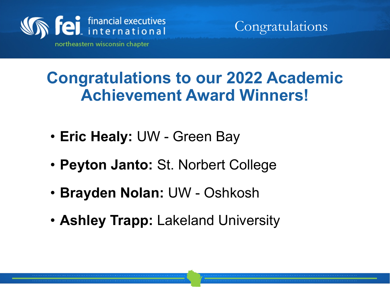

Congratulations

**Congratulations to our 2022 Academic Achievement Award Winners!**

- **Eric Healy:** UW Green Bay
- **Peyton Janto:** St. Norbert College
- **Brayden Nolan:** UW Oshkosh
- **Ashley Trapp:** Lakeland University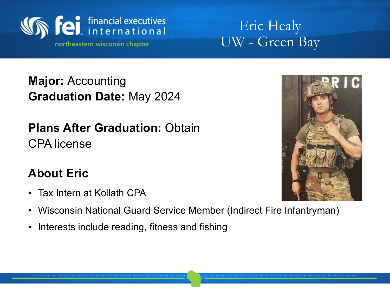

Eric Healy UW - Green Bay

**Major:** Accounting **Graduation Date:** May 2024

#### **Plans After Graduation:** Obtain CPA license

### **About Eric**

- Tax Intern at Kollath CPA
- Wisconsin National Guard Service Member (Indirect Fire Infantryman)
- Interests include reading, fitness and fishing

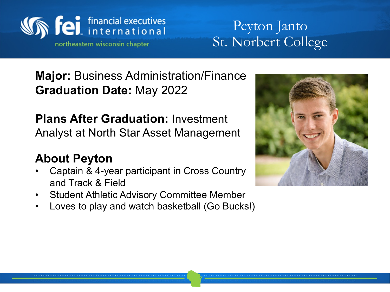

## Peyton Janto St. Norbert College

**Major:** Business Administration/Finance **Graduation Date:** May 2022

**Plans After Graduation:** Investment Analyst at North Star Asset Management

### **About Peyton**

- Captain & 4-year participant in Cross Country and Track & Field
- Student Athletic Advisory Committee Member
- Loves to play and watch basketball (Go Bucks!)

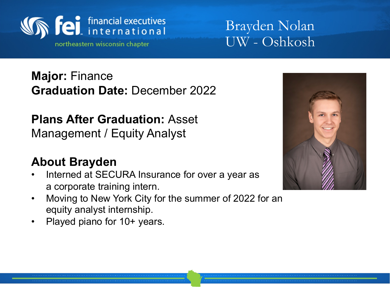

Brayden Nolan UW - Oshkosh

**Major:** Finance **Graduation Date:** December 2022

**Plans After Graduation:** Asset Management / Equity Analyst

#### **About Brayden**

- Interned at SECURA Insurance for over a year as a corporate training intern.
- Moving to New York City for the summer of 2022 for an equity analyst internship.
- Played piano for 10+ years.